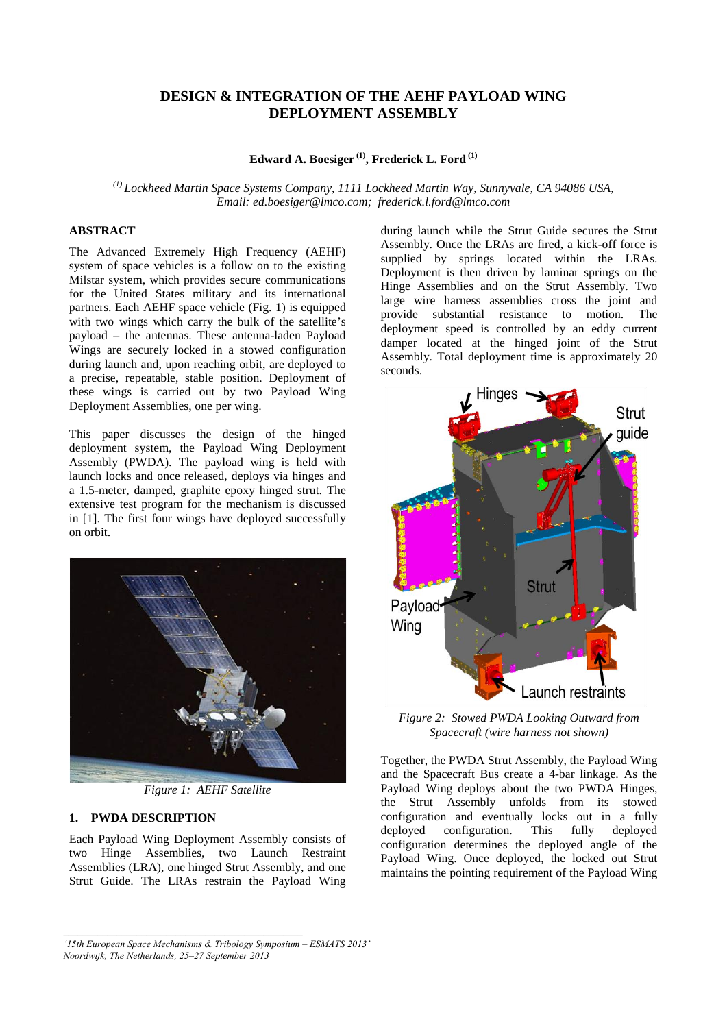# **DESIGN & INTEGRATION OF THE AEHF PAYLOAD WING DEPLOYMENT ASSEMBLY**

## **Edward A. Boesiger (1), Frederick L. Ford (1)**

*(1) Lockheed Martin Space Systems Company, 1111 Lockheed Martin Way, Sunnyvale, CA 94086 USA, Email: ed.boesiger@lmco.com; frederick.l.ford@lmco.com*

### **ABSTRACT**

The Advanced Extremely High Frequency (AEHF) system of space vehicles is a follow on to the existing Milstar system, which provides secure communications for the United States military and its international partners. Each AEHF space vehicle (Fig. 1) is equipped with two wings which carry the bulk of the satellite's payload – the antennas. These antenna-laden Payload Wings are securely locked in a stowed configuration during launch and, upon reaching orbit, are deployed to a precise, repeatable, stable position. Deployment of these wings is carried out by two Payload Wing Deployment Assemblies, one per wing.

This paper discusses the design of the hinged deployment system, the Payload Wing Deployment Assembly (PWDA). The payload wing is held with launch locks and once released, deploys via hinges and a 1.5-meter, damped, graphite epoxy hinged strut. The extensive test program for the mechanism is discussed in [1]. The first four wings have deployed successfully on orbit.



*Figure 1: AEHF Satellite*

### **1. PWDA DESCRIPTION**

Each Payload Wing Deployment Assembly consists of two Hinge Assemblies, two Launch Restraint Assemblies (LRA), one hinged Strut Assembly, and one Strut Guide. The LRAs restrain the Payload Wing during launch while the Strut Guide secures the Strut Assembly. Once the LRAs are fired, a kick-off force is supplied by springs located within the LRAs. Deployment is then driven by laminar springs on the Hinge Assemblies and on the Strut Assembly. Two large wire harness assemblies cross the joint and provide substantial resistance to motion. The deployment speed is controlled by an eddy current damper located at the hinged joint of the Strut Assembly. Total deployment time is approximately 20 seconds.



*Figure 2: Stowed PWDA Looking Outward from Spacecraft (wire harness not shown)*

Together, the PWDA Strut Assembly, the Payload Wing and the Spacecraft Bus create a 4-bar linkage. As the Payload Wing deploys about the two PWDA Hinges, the Strut Assembly unfolds from its stowed configuration and eventually locks out in a fully deployed configuration. This fully deployed deployed configuration. This fully configuration determines the deployed angle of the Payload Wing. Once deployed, the locked out Strut maintains the pointing requirement of the Payload Wing

*<sup>&#</sup>x27;15th European Space Mechanisms & Tribology Symposium – ESMATS 2013' Noordwijk, The Netherlands, 25–27 September 2013*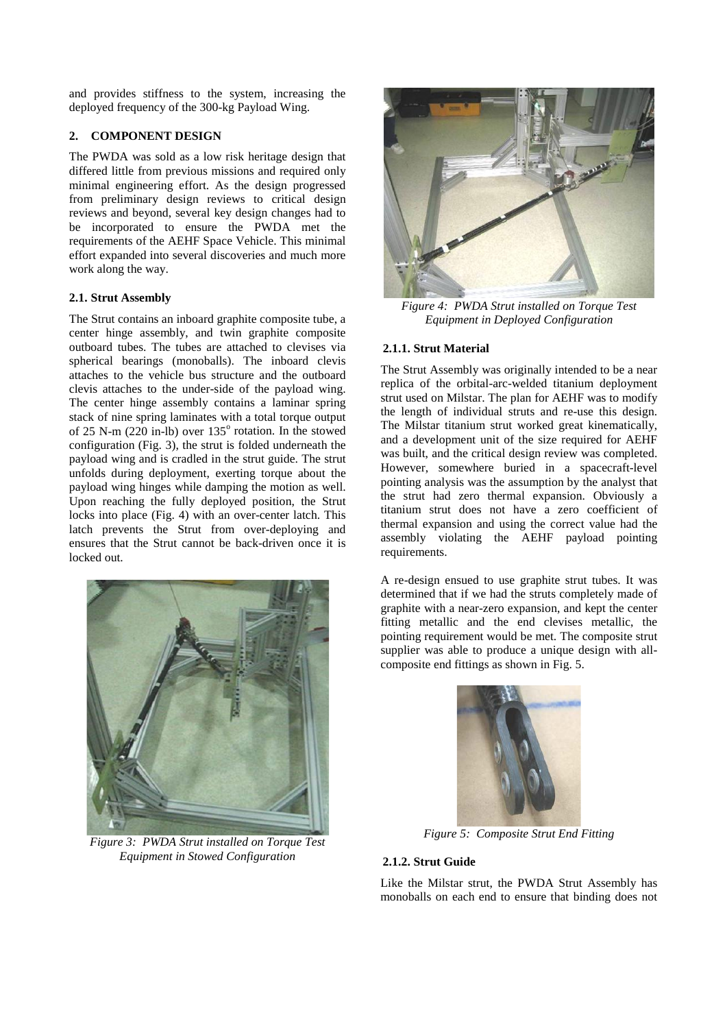and provides stiffness to the system, increasing the deployed frequency of the 300-kg Payload Wing.

## **2. COMPONENT DESIGN**

The PWDA was sold as a low risk heritage design that differed little from previous missions and required only minimal engineering effort. As the design progressed from preliminary design reviews to critical design reviews and beyond, several key design changes had to be incorporated to ensure the PWDA met the requirements of the AEHF Space Vehicle. This minimal effort expanded into several discoveries and much more work along the way.

## **2.1. Strut Assembly**

The Strut contains an inboard graphite composite tube, a center hinge assembly, and twin graphite composite outboard tubes. The tubes are attached to clevises via spherical bearings (monoballs). The inboard clevis attaches to the vehicle bus structure and the outboard clevis attaches to the under-side of the payload wing. The center hinge assembly contains a laminar spring stack of nine spring laminates with a total torque output of 25 N-m (220 in-lb) over  $135^{\circ}$  rotation. In the stowed configuration [\(Fig. 3\)](#page-1-0), the strut is folded underneath the payload wing and is cradled in the strut guide. The strut unfolds during deployment, exerting torque about the payload wing hinges while damping the motion as well. Upon reaching the fully deployed position, the Strut locks into place [\(Fig. 4\)](#page-1-1) with an over-center latch. This latch prevents the Strut from over-deploying and ensures that the Strut cannot be back-driven once it is locked out.

<span id="page-1-0"></span>

*Figure 3: PWDA Strut installed on Torque Test Equipment in Stowed Configuration*



*Figure 4: PWDA Strut installed on Torque Test Equipment in Deployed Configuration*

### <span id="page-1-1"></span>**2.1.1. Strut Material**

The Strut Assembly was originally intended to be a near replica of the orbital-arc-welded titanium deployment strut used on Milstar. The plan for AEHF was to modify the length of individual struts and re-use this design. The Milstar titanium strut worked great kinematically, and a development unit of the size required for AEHF was built, and the critical design review was completed. However, somewhere buried in a spacecraft-level pointing analysis was the assumption by the analyst that the strut had zero thermal expansion. Obviously a titanium strut does not have a zero coefficient of thermal expansion and using the correct value had the assembly violating the AEHF payload pointing requirements.

A re-design ensued to use graphite strut tubes. It was determined that if we had the struts completely made of graphite with a near-zero expansion, and kept the center fitting metallic and the end clevises metallic, the pointing requirement would be met. The composite strut supplier was able to produce a unique design with allcomposite end fittings as shown in [Fig. 5.](#page-1-2) 



*Figure 5: Composite Strut End Fitting*

### <span id="page-1-2"></span>**2.1.2. Strut Guide**

Like the Milstar strut, the PWDA Strut Assembly has monoballs on each end to ensure that binding does not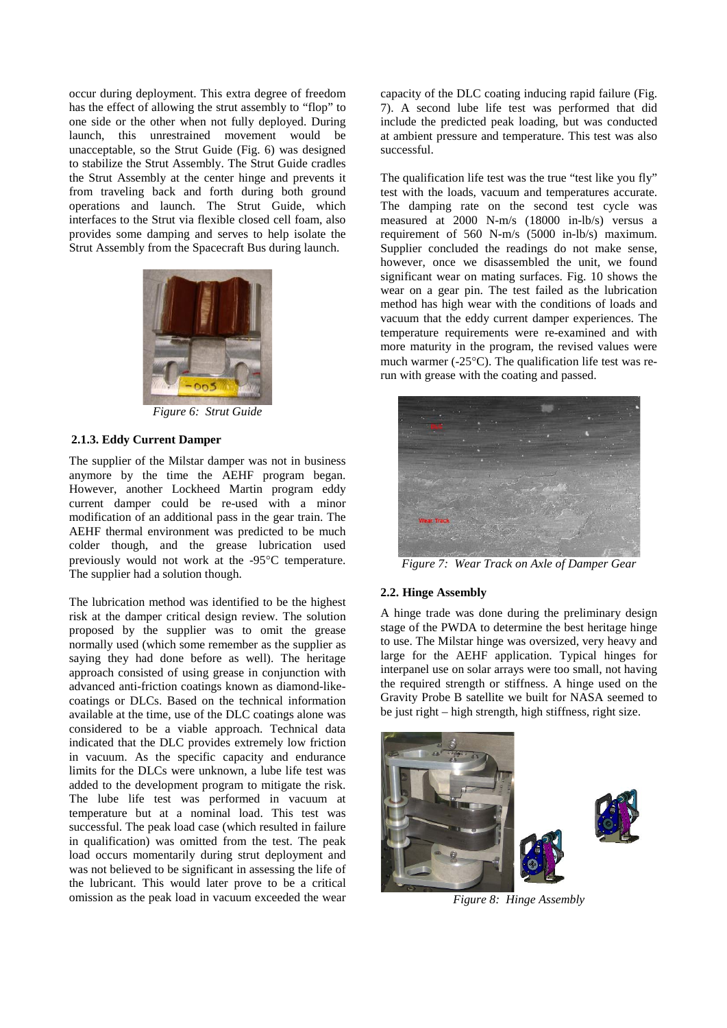occur during deployment. This extra degree of freedom has the effect of allowing the strut assembly to "flop" to one side or the other when not fully deployed. During launch, this unrestrained movement would be unacceptable, so the Strut Guide [\(Fig. 6\)](#page-2-0) was designed to stabilize the Strut Assembly. The Strut Guide cradles the Strut Assembly at the center hinge and prevents it from traveling back and forth during both ground operations and launch. The Strut Guide, which interfaces to the Strut via flexible closed cell foam, also provides some damping and serves to help isolate the Strut Assembly from the Spacecraft Bus during launch.



*Figure 6: Strut Guide*

# <span id="page-2-0"></span>**2.1.3. Eddy Current Damper**

The supplier of the Milstar damper was not in business anymore by the time the AEHF program began. However, another Lockheed Martin program eddy current damper could be re-used with a minor modification of an additional pass in the gear train. The AEHF thermal environment was predicted to be much colder though, and the grease lubrication used previously would not work at the -95°C temperature. The supplier had a solution though.

The lubrication method was identified to be the highest risk at the damper critical design review. The solution proposed by the supplier was to omit the grease normally used (which some remember as the supplier as saying they had done before as well). The heritage approach consisted of using grease in conjunction with advanced anti-friction coatings known as diamond-likecoatings or DLCs. Based on the technical information available at the time, use of the DLC coatings alone was considered to be a viable approach. Technical data indicated that the DLC provides extremely low friction in vacuum. As the specific capacity and endurance limits for the DLCs were unknown, a lube life test was added to the development program to mitigate the risk. The lube life test was performed in vacuum at temperature but at a nominal load. This test was successful. The peak load case (which resulted in failure in qualification) was omitted from the test. The peak load occurs momentarily during strut deployment and was not believed to be significant in assessing the life of the lubricant. This would later prove to be a critical omission as the peak load in vacuum exceeded the wear capacity of the DLC coating inducing rapid failure [\(Fig.](#page-2-1)  [7\)](#page-2-1). A second lube life test was performed that did include the predicted peak loading, but was conducted at ambient pressure and temperature. This test was also successful.

The qualification life test was the true "test like you fly" test with the loads, vacuum and temperatures accurate. The damping rate on the second test cycle was measured at 2000 N-m/s (18000 in-lb/s) versus a requirement of 560 N-m/s (5000 in-lb/s) maximum. Supplier concluded the readings do not make sense, however, once we disassembled the unit, we found significant wear on mating surfaces. Fig. 10 shows the wear on a gear pin. The test failed as the lubrication method has high wear with the conditions of loads and vacuum that the eddy current damper experiences. The temperature requirements were re-examined and with more maturity in the program, the revised values were much warmer (-25°C). The qualification life test was rerun with grease with the coating and passed.



*Figure 7: Wear Track on Axle of Damper Gear*

### <span id="page-2-1"></span>**2.2. Hinge Assembly**

A hinge trade was done during the preliminary design stage of the PWDA to determine the best heritage hinge to use. The Milstar hinge was oversized, very heavy and large for the AEHF application. Typical hinges for interpanel use on solar arrays were too small, not having the required strength or stiffness. A hinge used on the Gravity Probe B satellite we built for NASA seemed to be just right – high strength, high stiffness, right size.

<span id="page-2-2"></span>

*Figure 8: Hinge Assembly*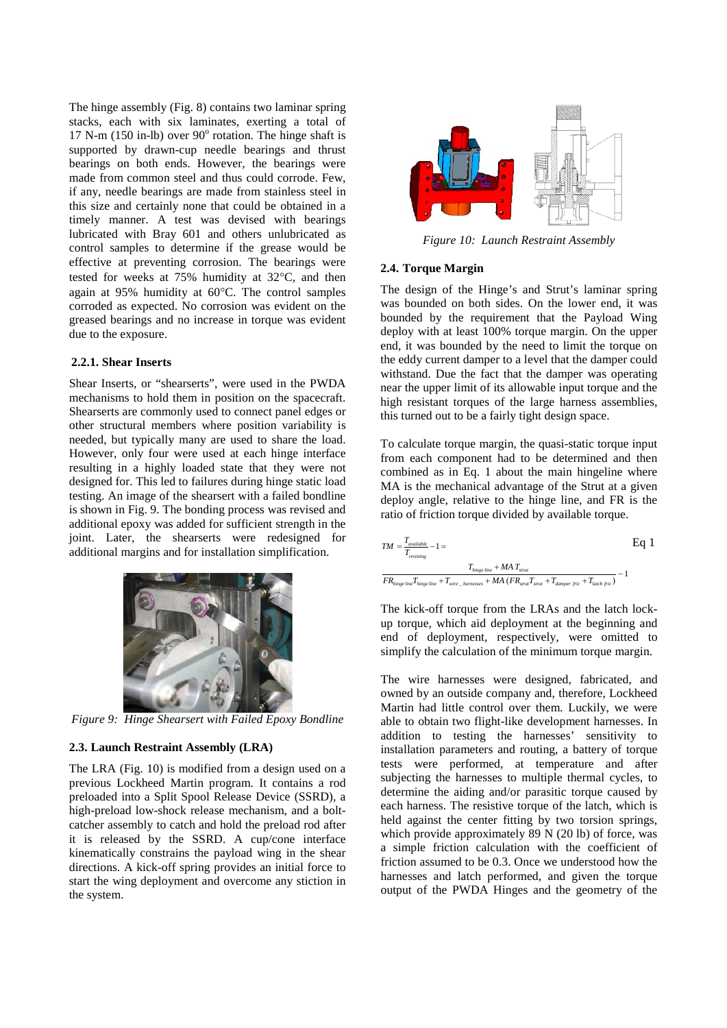The hinge assembly [\(Fig. 8\)](#page-2-2) contains two laminar spring stacks, each with six laminates, exerting a total of 17 N-m (150 in-lb) over  $90^{\circ}$  rotation. The hinge shaft is supported by drawn-cup needle bearings and thrust bearings on both ends. However, the bearings were made from common steel and thus could corrode. Few, if any, needle bearings are made from stainless steel in this size and certainly none that could be obtained in a timely manner. A test was devised with bearings lubricated with Bray 601 and others unlubricated as control samples to determine if the grease would be effective at preventing corrosion. The bearings were tested for weeks at 75% humidity at 32°C, and then again at 95% humidity at 60°C. The control samples corroded as expected. No corrosion was evident on the greased bearings and no increase in torque was evident due to the exposure.

#### **2.2.1. Shear Inserts**

Shear Inserts, or "shearserts", were used in the PWDA mechanisms to hold them in position on the spacecraft. Shearserts are commonly used to connect panel edges or other structural members where position variability is needed, but typically many are used to share the load. However, only four were used at each hinge interface resulting in a highly loaded state that they were not designed for. This led to failures during hinge static load testing. An image of the shearsert with a failed bondline is shown in [Fig. 9.](#page-3-0) The bonding process was revised and additional epoxy was added for sufficient strength in the joint. Later, the shearserts were redesigned for additional margins and for installation simplification.



*Figure 9: Hinge Shearsert with Failed Epoxy Bondline*

### <span id="page-3-0"></span>**2.3. Launch Restraint Assembly (LRA)**

The LRA [\(Fig. 10\)](#page-3-1) is modified from a design used on a previous Lockheed Martin program. It contains a rod preloaded into a Split Spool Release Device (SSRD), a high-preload low-shock release mechanism, and a boltcatcher assembly to catch and hold the preload rod after it is released by the SSRD. A cup/cone interface kinematically constrains the payload wing in the shear directions. A kick-off spring provides an initial force to start the wing deployment and overcome any stiction in the system.



*Figure 10: Launch Restraint Assembly*

#### <span id="page-3-1"></span>**2.4. Torque Margin**

The design of the Hinge's and Strut's laminar spring was bounded on both sides. On the lower end, it was bounded by the requirement that the Payload Wing deploy with at least 100% torque margin. On the upper end, it was bounded by the need to limit the torque on the eddy current damper to a level that the damper could withstand. Due the fact that the damper was operating near the upper limit of its allowable input torque and the high resistant torques of the large harness assemblies, this turned out to be a fairly tight design space.

To calculate torque margin, the quasi-static torque input from each component had to be determined and then combined as in Eq. 1 about the main hingeline where MA is the mechanical advantage of the Strut at a given deploy angle, relative to the hinge line, and FR is the ratio of friction torque divided by available torque.

| $TM = \frac{T_{available}}{T} - 1 =$<br>resisting                                                                   | Ea 1 |
|---------------------------------------------------------------------------------------------------------------------|------|
| $T_{hinge line} + MAT_{strut}$                                                                                      |      |
| $FR_{hinge line}T_{hinge line} + T_{wire\_harmesses} + MA (FR_{strut}T_{strut} + T_{damper fric} + T_{latch fric})$ |      |

The kick-off torque from the LRAs and the latch lockup torque, which aid deployment at the beginning and end of deployment, respectively, were omitted to simplify the calculation of the minimum torque margin.

The wire harnesses were designed, fabricated, and owned by an outside company and, therefore, Lockheed Martin had little control over them. Luckily, we were able to obtain two flight-like development harnesses. In addition to testing the harnesses' sensitivity to installation parameters and routing, a battery of torque tests were performed, at temperature and after subjecting the harnesses to multiple thermal cycles, to determine the aiding and/or parasitic torque caused by each harness. The resistive torque of the latch, which is held against the center fitting by two torsion springs, which provide approximately 89 N (20 lb) of force, was a simple friction calculation with the coefficient of friction assumed to be 0.3. Once we understood how the harnesses and latch performed, and given the torque output of the PWDA Hinges and the geometry of the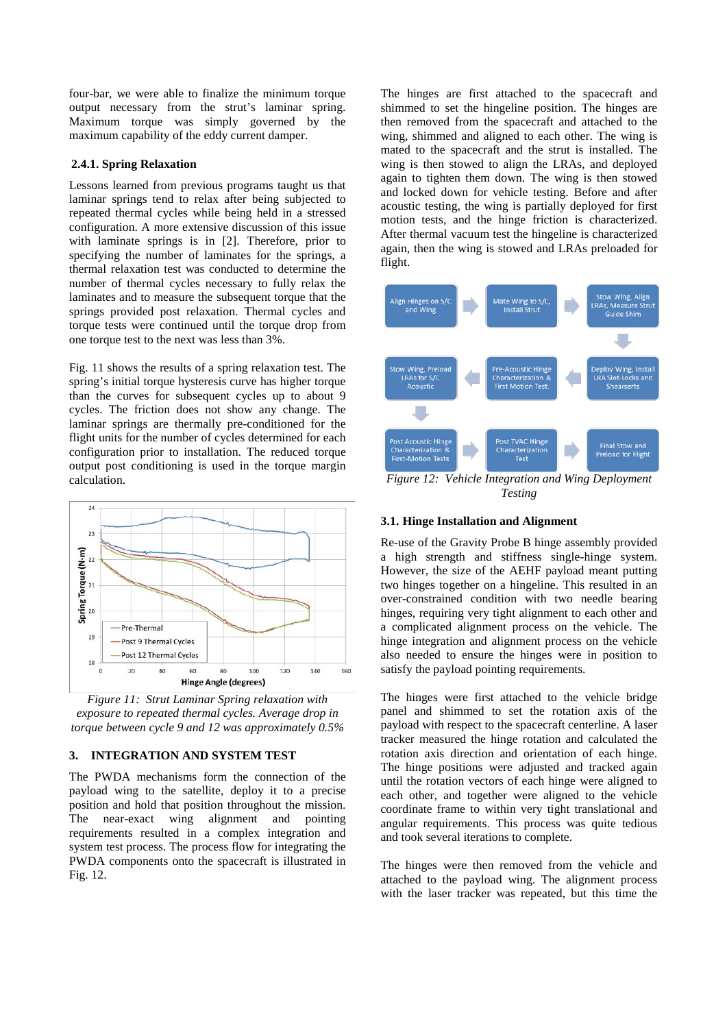four-bar, we were able to finalize the minimum torque output necessary from the strut's laminar spring. Maximum torque was simply governed by the maximum capability of the eddy current damper.

### **2.4.1. Spring Relaxation**

Lessons learned from previous programs taught us that laminar springs tend to relax after being subjected to repeated thermal cycles while being held in a stressed configuration. A more extensive discussion of this issue with laminate springs is in [2]. Therefore, prior to specifying the number of laminates for the springs, a thermal relaxation test was conducted to determine the number of thermal cycles necessary to fully relax the laminates and to measure the subsequent torque that the springs provided post relaxation. Thermal cycles and torque tests were continued until the torque drop from one torque test to the next was less than 3%.

[Fig. 11](#page-4-0) shows the results of a spring relaxation test. The spring's initial torque hysteresis curve has higher torque than the curves for subsequent cycles up to about 9 cycles. The friction does not show any change. The laminar springs are thermally pre-conditioned for the flight units for the number of cycles determined for each configuration prior to installation. The reduced torque output post conditioning is used in the torque margin calculation.



<span id="page-4-0"></span>*Figure 11: Strut Laminar Spring relaxation with exposure to repeated thermal cycles. Average drop in torque between cycle 9 and 12 was approximately 0.5%*

## **3. INTEGRATION AND SYSTEM TEST**

The PWDA mechanisms form the connection of the payload wing to the satellite, deploy it to a precise position and hold that position throughout the mission. The near-exact wing alignment and pointing requirements resulted in a complex integration and system test process. The process flow for integrating the PWDA components onto the spacecraft is illustrated in [Fig. 12.](#page-4-1)

The hinges are first attached to the spacecraft and shimmed to set the hingeline position. The hinges are then removed from the spacecraft and attached to the wing, shimmed and aligned to each other. The wing is mated to the spacecraft and the strut is installed. The wing is then stowed to align the LRAs, and deployed again to tighten them down. The wing is then stowed and locked down for vehicle testing. Before and after acoustic testing, the wing is partially deployed for first motion tests, and the hinge friction is characterized. After thermal vacuum test the hingeline is characterized again, then the wing is stowed and LRAs preloaded for flight.



<span id="page-4-1"></span>*Figure 12: Vehicle Integration and Wing Deployment Testing*

#### **3.1. Hinge Installation and Alignment**

Re-use of the Gravity Probe B hinge assembly provided a high strength and stiffness single-hinge system. However, the size of the AEHF payload meant putting two hinges together on a hingeline. This resulted in an over-constrained condition with two needle bearing hinges, requiring very tight alignment to each other and a complicated alignment process on the vehicle. The hinge integration and alignment process on the vehicle also needed to ensure the hinges were in position to satisfy the payload pointing requirements.

The hinges were first attached to the vehicle bridge panel and shimmed to set the rotation axis of the payload with respect to the spacecraft centerline. A laser tracker measured the hinge rotation and calculated the rotation axis direction and orientation of each hinge. The hinge positions were adjusted and tracked again until the rotation vectors of each hinge were aligned to each other, and together were aligned to the vehicle coordinate frame to within very tight translational and angular requirements. This process was quite tedious and took several iterations to complete.

The hinges were then removed from the vehicle and attached to the payload wing. The alignment process with the laser tracker was repeated, but this time the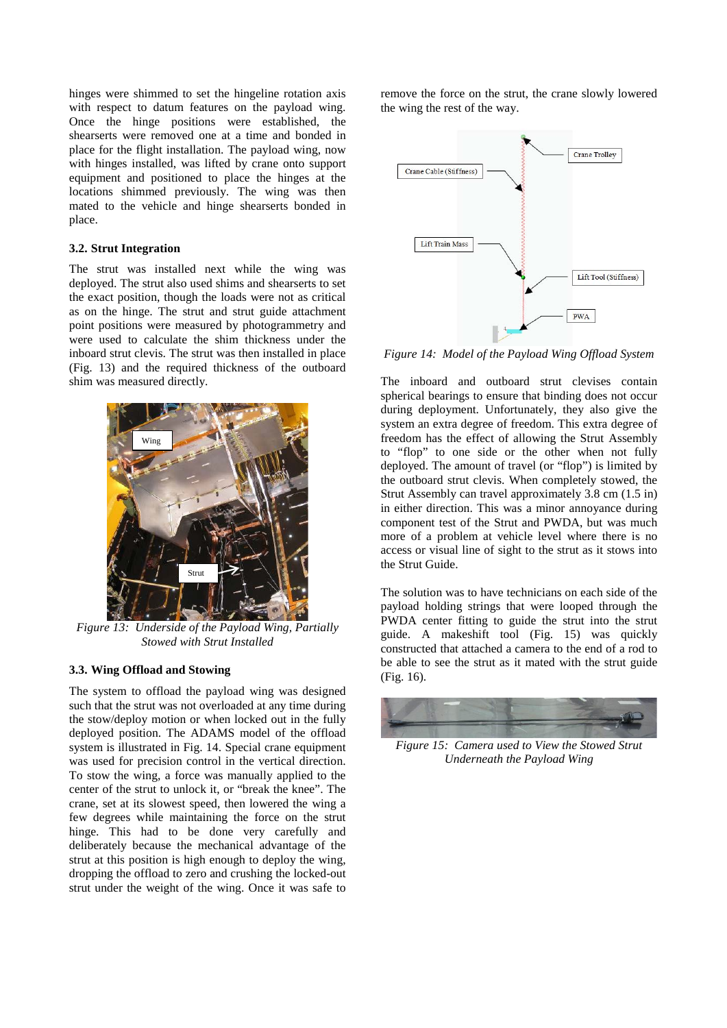hinges were shimmed to set the hingeline rotation axis with respect to datum features on the payload wing. Once the hinge positions were established, the shearserts were removed one at a time and bonded in place for the flight installation. The payload wing, now with hinges installed, was lifted by crane onto support equipment and positioned to place the hinges at the locations shimmed previously. The wing was then mated to the vehicle and hinge shearserts bonded in place.

#### **3.2. Strut Integration**

The strut was installed next while the wing was deployed. The strut also used shims and shearserts to set the exact position, though the loads were not as critical as on the hinge. The strut and strut guide attachment point positions were measured by photogrammetry and were used to calculate the shim thickness under the inboard strut clevis. The strut was then installed in place (Fig. 13) and the required thickness of the outboard shim was measured directly.



*Figure 13: Underside of the Payload Wing, Partially Stowed with Strut Installed*

#### **3.3. Wing Offload and Stowing**

The system to offload the payload wing was designed such that the strut was not overloaded at any time during the stow/deploy motion or when locked out in the fully deployed position. The ADAMS model of the offload system is illustrated in [Fig.](#page-5-0) 14. Special crane equipment was used for precision control in the vertical direction. To stow the wing, a force was manually applied to the center of the strut to unlock it, or "break the knee". The crane, set at its slowest speed, then lowered the wing a few degrees while maintaining the force on the strut hinge. This had to be done very carefully and deliberately because the mechanical advantage of the strut at this position is high enough to deploy the wing, dropping the offload to zero and crushing the locked-out strut under the weight of the wing. Once it was safe to remove the force on the strut, the crane slowly lowered the wing the rest of the way.



<span id="page-5-0"></span>*Figure 14: Model of the Payload Wing Offload System*

The inboard and outboard strut clevises contain spherical bearings to ensure that binding does not occur during deployment. Unfortunately, they also give the system an extra degree of freedom. This extra degree of freedom has the effect of allowing the Strut Assembly to "flop" to one side or the other when not fully deployed. The amount of travel (or "flop") is limited by the outboard strut clevis. When completely stowed, the Strut Assembly can travel approximately 3.8 cm (1.5 in) in either direction. This was a minor annoyance during component test of the Strut and PWDA, but was much more of a problem at vehicle level where there is no access or visual line of sight to the strut as it stows into the Strut Guide.

The solution was to have technicians on each side of the payload holding strings that were looped through the PWDA center fitting to guide the strut into the strut guide. A makeshift tool [\(Fig. 15\)](#page-5-1) was quickly constructed that attached a camera to the end of a rod to be able to see the strut as it mated with the strut guide [\(Fig. 16\)](#page-6-0).

<span id="page-5-1"></span>

*Figure 15: Camera used to View the Stowed Strut Underneath the Payload Wing*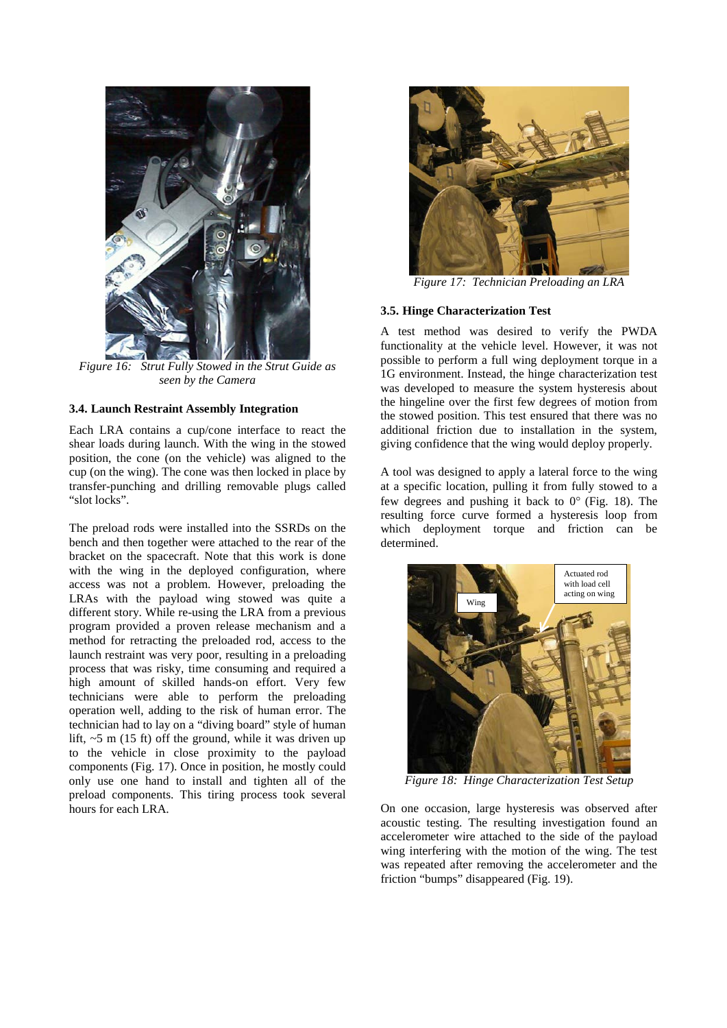

*Figure 16: Strut Fully Stowed in the Strut Guide as seen by the Camera*

### <span id="page-6-0"></span>**3.4. Launch Restraint Assembly Integration**

Each LRA contains a cup/cone interface to react the shear loads during launch. With the wing in the stowed position, the cone (on the vehicle) was aligned to the cup (on the wing). The cone was then locked in place by transfer-punching and drilling removable plugs called "slot locks".

The preload rods were installed into the SSRDs on the bench and then together were attached to the rear of the bracket on the spacecraft. Note that this work is done with the wing in the deployed configuration, where access was not a problem. However, preloading the LRAs with the payload wing stowed was quite a different story. While re-using the LRA from a previous program provided a proven release mechanism and a method for retracting the preloaded rod, access to the launch restraint was very poor, resulting in a preloading process that was risky, time consuming and required a high amount of skilled hands-on effort. Very few technicians were able to perform the preloading operation well, adding to the risk of human error. The technician had to lay on a "diving board" style of human lift,  $\sim$  5 m (15 ft) off the ground, while it was driven up to the vehicle in close proximity to the payload components (Fig. 17). Once in position, he mostly could only use one hand to install and tighten all of the preload components. This tiring process took several hours for each LRA.



*Figure 17: Technician Preloading an LRA*

### **3.5. Hinge Characterization Test**

A test method was desired to verify the PWDA functionality at the vehicle level. However, it was not possible to perform a full wing deployment torque in a 1G environment. Instead, the hinge characterization test was developed to measure the system hysteresis about the hingeline over the first few degrees of motion from the stowed position. This test ensured that there was no additional friction due to installation in the system, giving confidence that the wing would deploy properly.

A tool was designed to apply a lateral force to the wing at a specific location, pulling it from fully stowed to a few degrees and pushing it back to 0° [\(Fig. 18\)](#page-6-1). The resulting force curve formed a hysteresis loop from which deployment torque and friction can be determined.



*Figure 18: Hinge Characterization Test Setup*

<span id="page-6-1"></span>On one occasion, large hysteresis was observed after acoustic testing. The resulting investigation found an accelerometer wire attached to the side of the payload wing interfering with the motion of the wing. The test was repeated after removing the accelerometer and the friction "bumps" disappeared [\(Fig. 19\)](#page-7-0).